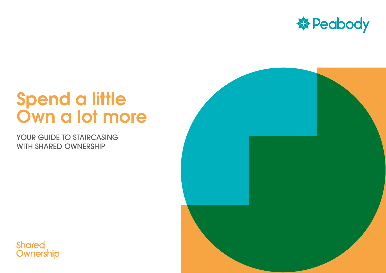

# Spend a little Own a lot more

YOUR GUIDE TO STAIRCASING WITH SHARED OWNERSHIP



**Shared** Ownership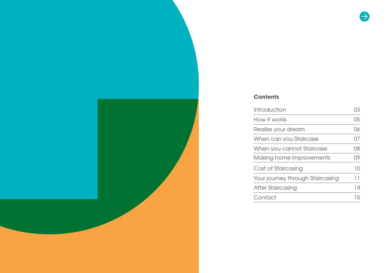#### **Contents**

| How it works<br>Realise your dream<br>When can you Staircase<br>When you cannot Staircase<br>Making home improvements<br>Cost of Staircasing<br>Your journey through Staircasing<br>After Staircasing | Introduction | OЗ |
|-------------------------------------------------------------------------------------------------------------------------------------------------------------------------------------------------------|--------------|----|
|                                                                                                                                                                                                       |              | 05 |
|                                                                                                                                                                                                       |              | 06 |
|                                                                                                                                                                                                       |              | 07 |
|                                                                                                                                                                                                       |              | 08 |
|                                                                                                                                                                                                       |              | 09 |
|                                                                                                                                                                                                       |              | 10 |
|                                                                                                                                                                                                       |              | 11 |
|                                                                                                                                                                                                       |              | 14 |
|                                                                                                                                                                                                       | Contact      | 15 |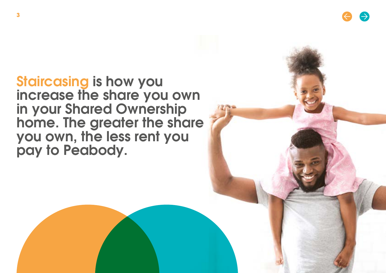<span id="page-2-0"></span>**3**

Staircasing is how you increase the share you own in your Shared Ownership home. The greater the share you own, the less rent you pay to Peabody.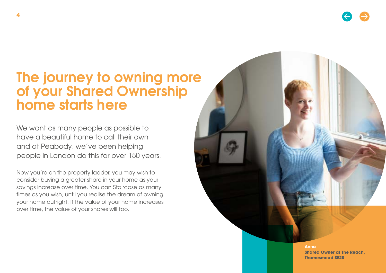### The journey to owning more of your Shared Ownership home starts here

We want as many people as possible to have a beautiful home to call their own and at Peabody, we've been helping people in London do this for over 150 years.

Now you're on the property ladder, you may wish to consider buying a greater share in your home as your savings increase over time. You can Staircase as many times as you wish, until you realise the dream of owning your home outright. If the value of your home increases over time, the value of your shares will too.

> **Anna Shared Owner at The Reach, Thamesmead SE28**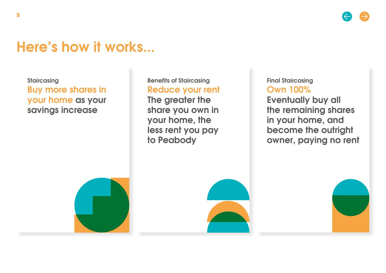### <span id="page-4-0"></span>Here's how it works...

**Staircasing** Buy more shares in your home as your savings increase

Benefits of Staircasing Reduce your rent

The greater the share you own in your home, the less rent you pay to Peabody

Final Staircasing Own 100%

Eventually buy all the remaining shares in your home, and become the outright owner, paying no rent





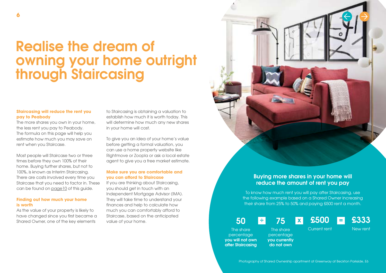### <span id="page-5-0"></span>Realise the dream of owning your home outright through Staircasing

#### **Staircasing will reduce the rent you pay to Peabody**

The more shares you own in your home, the less rent you pay to Peabody. The formula on this page will help you estimate how much you may save on rent when you Staircase.

Most people will Staircase two or three times before they own 100% of their home. Buying further shares, but not to 100%, is known as Interim Staircasing. There are costs involved every time you Staircase that you need to factor in. These can be found on page 10 of this guide.

#### **Finding out how much your home is worth**

As the value of your property is likely to have changed since you first became a Shared Owner, one of the key elements

to Staircasing is obtaining a valuation to establish how much it is worth today. This will determine how much any new shares in your home will cost.

To give you an idea of your home's value before getting a formal valuation, you can use a home property website like Rightmove or Zoopla or ask a local estate agent to give you a free market estimate.

#### **Make sure you are comfortable and you can afford to Staircase**

If you are thinking about Staircasing, you should get in touch with an Independent Mortgage Advisor (IMA). They will take time to understand your finances and help to calculate how much you can comfortably afford to Staircase, based on the anticipated value of your home.



#### Buying more shares in your home will reduce the amount of rent you pay

To know how much rent you will pay after Staircasing, use the following example based on a Shared Owner increasing their share from 25% to 50% and paying £500 rent a month.

÷ 75 x £500 <mark>=</mark> 50 75

The share

percentage you currently do not own

Current rent

New rent

£333

The share percentage you will not own after Staircasing

Photography of Shared Ownership apartment at Greenway at Beckton Parkside, E6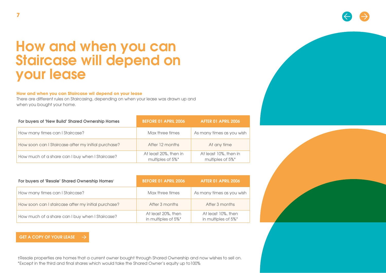### <span id="page-6-0"></span>How and when you can Staircase will depend on your lease

#### **How and when you can Staircase wil depend on your lease**

There are different rules on Staircasing, depending on when your lease was drawn up and when you bought your home.

| For buyers of 'New Build' Shared Ownership Homes    | <b>BEFORE 01 APRIL 2006</b>               | AFTER 01 APRIL 2006                       |
|-----------------------------------------------------|-------------------------------------------|-------------------------------------------|
| How many times can I Staircase?                     | Max three times                           | As many times as you wish                 |
| How soon can I Staircase after my initial purchase? | After 12 months                           | At any time                               |
| How much of a share can I buy when I Staircase?     | At least 20%, then in<br>multiples of 5%* | At least 10%, then in<br>multiples of 5%* |

| For buyers of 'Resale' Shared Ownership Homes <sup>+</sup> | <b>BEFORE 01 APRIL 2006</b>               | AFTER 01 APRIL 2006                       |
|------------------------------------------------------------|-------------------------------------------|-------------------------------------------|
| How many times can I Staircase?                            | Max three times                           | As many times as you wish                 |
| How soon can I staircase after my initial purchase?        | After 3 months                            | After 3 months                            |
| How much of a share can I buy when I Staircase?            | At least 20%, then<br>in multiples of 5%* | At least 10%, then<br>in multiples of 5%* |

#### [GET A COPY OF YOUR LEASE](https://www.gov.uk/guidance/hm-land-registry-information-services-fees)

†Resale properties are homes that a current owner bought through Shared Ownership and now wishes to sell on. \*Except in the third and final shares which would take the Shared Owner's equity up to100%



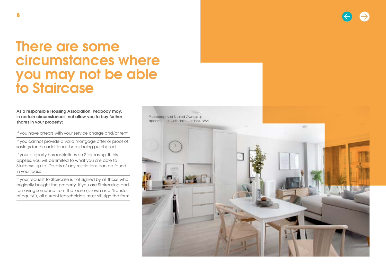### <span id="page-7-0"></span>There are some circumstances where you may not be able to Staircase

As a responsible Housing Association, Peabody may, in certain circumstances, not allow you to buy further shares in your property:

If you have arrears with your service charge and/or rent

If you cannot provide a valid mortgage offer or proof of savings for the additional shares being purchased

If your property has restrictions on Staircasing. If this applies, you will be limited to what you are able to Staircase up to. Details of any restrictions can be found in your lease

If your request to Staircase is not signed by all those who originally bought the property. If you are Staircasing and removing someone from the lease (known as a 'transfer of equity'), all current leaseholders must still sign the form

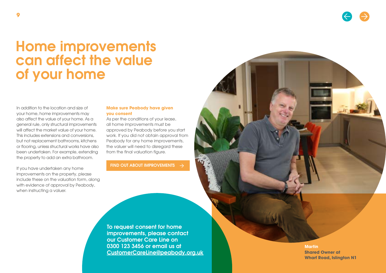### <span id="page-8-0"></span>Home improvements can affect the value of your home

In addition to the location and size of your home, home improvements may also affect the value of your home. As a general rule, only structural improvements will affect the market value of your home. This includes extensions and conversions, but not replacement bathrooms, kitchens or flooring, unless structural works have also been undertaken. For example, extending the property to add an extra bathroom.

If you have undertaken any home improvements on the property, please include these on the valuation form, along with evidence of approval by Peabody, when instructing a valuer.

#### **Make sure Peabody have given you consent**

As per the conditions of your lease, all home improvements must be approved by Peabody before you start work. If you did not obtain approval from Peabody for any home improvements, the valuer will need to disregard these from the final valuation figure.

#### [FIND OUT ABOUT IMPROVEMENTS](https://www.peabody.org.uk/resident-services/homeowner-information/homeowner-rights-and-responsibilities)  $\rightarrow$

To request consent for home improvements, please contact our Customer Care Line on 0300 123 3456 or email us at [CustomerCareLine@peabody.org.uk](mailto:CustomerCareLine%40peabody.org.uk?subject=Consent%20for%20home%20improvement)

**Martin Shared Owner at Wharf Road, Islington N1**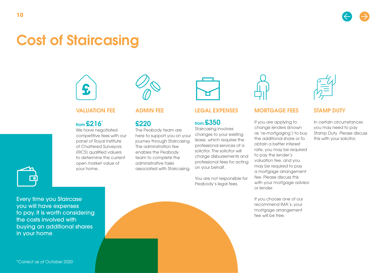# <span id="page-9-0"></span>Cost of Staircasing



#### VALUATION FEE

### from £216\*

We have negotiated competitive fees with our panel of Royal Institute of Chartered Surveyors (RICS) qualified valuers to determine the current open market value of your home.



#### ADMIN FEE

### £220

The Peabody team are here to support you on your journey through Staircasing. The adminstration fee enables the Peabody team to complete the administrative tasks associated with Staircasing.



#### LEGAL EXPENSES

### from £350

Staircasing involves changes to your existing lease, which requires the professional services of a solicitor. The solicitor will charge disbursements and professional fees for acting on your behalf.

You are not responsible for Peabody's legal fees.



#### MORTGAGE FEES

If you are applying to change lenders (known as 're-mortgaging') to buy the additional share or to obtain a better interest rate, you may be required to pay the lender's valuation fee, and you may be required to pay a mortgage arrangement fee. Please discuss this with your mortgage advisor or lender.

If you choose one of our recommend IMA's, your mortgage arrangement fee will be free.



#### STAMP DUTY

In certain circumstances you may need to pay Stamp Duty. Please discuss this with your solicitor.



Every time you Staircase you will have expenses to pay. It is worth considering the costs involved with buying an additional shares in your home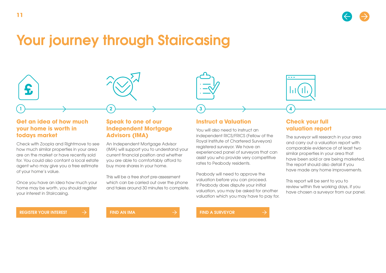## <span id="page-10-0"></span>Your journey through Staircasing

#### **Get an idea of how much your home is worth in todays market**

Check with Zoopla and Rightmove to see how much similar properties in your area are on the market or have recently sold for. You could also contant a local estate agent who may give you a free estimate of your home's value.

Once you have an idea how much your home may be worth, you should register your interest in Staircasing.

#### **Speak to one of our Independent Mortgage Advisors (IMA)**

An Independent Mortgage Advisor (IMA) will support you to understand your current financial position and whether you are able to comfortably afford to buy more shares in your home.

1 2 3 4

This will be a free short pre-assessment which can be carried out over the phone and takes around 30 minutes to complete.

#### **Instruct a Valuation**

You will also need to instruct an independent RICS/FRICS (Fellow of the Royal Institute of Chartered Surveyors) registered surveyor. We have an experienced panel of surveyors that can assist you who provide very competitive rates to Peabody residents.

Peabody will need to approve the valuation before you can proceed. If Peabody does dispute your initial valuation, you may be asked for another valuation which you may have to pay for.



#### **Check your full valuation report**

The surveyor will research in your area and carry out a valuation report with comparable evidence of at least two similar properties in your area that have been sold or are being marketed. The report should also detail if you have made any home improvements.

This report will be sent to you to review within five working days, if you have chosen a surveyor from our panel.

[REGISTER YOUR INTEREST](https://www.peabodysales.co.uk/leaseholders/staircasing/enquire-about-staircasing/)  $\rightarrow$  [FIND AN IMA](https://www.peabodysales.co.uk/leaseholders/staircasing/independent-mortgage-advisors/)  $\rightarrow$  [FIND A SURVEYOR](https://www.peabodysales.co.uk/leaseholders/staircasing/surveyors/)

£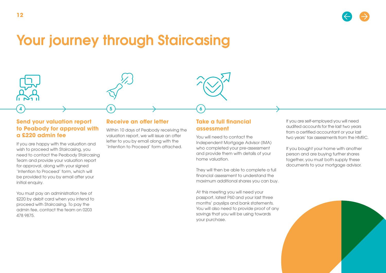

### Your journey through Staircasing

 $\longleftrightarrow$  4)  $\longrightarrow$  6

#### **Send your valuation report to Peabody for approval with a £220 admin fee**

**12**

If you are happy with the valuation and wish to proceed with Staircasing, you need to contact the Peabody Staircasing Team and provide your valuation report for approval, along with your signed 'Intention to Proceed' form, which will be provided to you by email after your initial enquiry.

You must pay an administration fee of £220 by debit card when you intend to proceed with Staircasing. To pay the admin fee, contact the team on 0203 478 9875.

#### **Receive an offer letter**

Within 10 days of Peabody receiving the valuation report, we will issue an offer letter to you by email along with the 'Intention to Proceed' form attached.

#### **Take a full financial assessment**

You will need to contact the Independent Mortgage Advisor (IMA) who completed your pre-assessment and provide them with details of your home valuation.

They will then be able to complete a full financial assessment to understand the maximum additional shares you can buy.

At this meeting you will need your passport, latest P60 and your last three months' payslips and bank statements. You will also need to provide proof of any savings that you will be using towards your purchase.

If you are self-employed you will need audited accounts for the last two years from a certified accountant or your last two years' tax assessments from the HMRC.

If you bought your home with another person and are buying further shares together, you must both supply these documents to your mortgage advisor.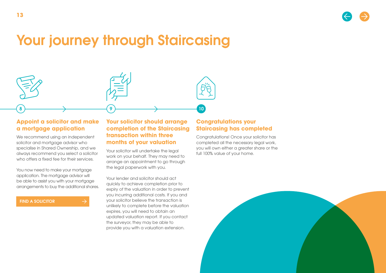# Your journey through Staircasing

8 ) and the set of  $\langle 9 \rangle$  and the set of  $\langle 10 \rangle$ 

#### **Appoint a solicitor and make a mortgage application**

We recommend using an independent solicitor and mortgage advisor who specialise in Shared Ownership, and we always recommend you select a solicitor who offers a fixed fee for their services.

You now need to make your mortgage application. The mortgage advisor will be able to assist you with your mortgage arrangements to buy the additional shares.

[FIND A SOLICITOR](https://www.peabodysales.co.uk/leaseholders/staircasing/solicitors/)

#### **Your solicitor should arrange completion of the Staircasing transaction within three months of your valuation**

Your solicitor will undertake the legal work on your behalf. They may need to arrange an appointment to go through the legal paperwork with you.

Your lender and solicitor should act quickly to achieve completion prior to expiry of the valuation in order to prevent you incurring additional costs. If you and your solicitor believe the transaction is unlikely to complete before the valuation expires, you will need to obtain an updated valuation report. If you contact the surveyor, they may be able to provide you with a valuation extension.

#### **Congratulations your Staircasing has completed**

Congratulations! Once your solicitor has completed all the necessary legal work, you will own either a greater share or the full 100% value of your home.

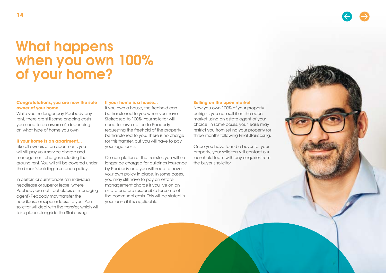### What happens when you own 100% of your home?

#### **Congratulations, you are now the sole owner of your home**

While you no longer pay Peabody any rent, there are still some ongoing costs you need to be aware of, depending on what type of home you own.

#### **If your home is an apartment...**

Like all owners of an apartment, you will still pay your service charge and management charges including the ground rent. You will still be covered under the block's buildings insurance policy.

In certain circumstances (an individual headlease or superior lease, where Peabody are not freeholders or managing agent) Peabody may transfer the headlease or superior lease to you. Your solicitor will deal with the transfer, which will take place alongside the Staircasing.

#### **If your home is a house...**

If you own a house, the freehold can be transferred to you when you have Staircased to 100%. Your solicitor will need to serve notice to Peabody requesting the freehold of the property be transferred to you. There is no charge for this transfer, but you will have to pay your legal costs.

On completion of the transfer, you will no longer be charged for buildings insurance by Peabody and you will need to have your own policy in place. In some cases, you may still have to pay an estate management charge if you live on an estate and are responsible for some of the communal costs. This will be stated in your lease if it is applicable.

#### **Selling on the open market**

Now you own 100% of your property outright, you can sell it on the open market using an estate agent of your choice. In some cases, your lease may restrict you from selling your property for three months following Final Staircasing.

Once you have found a buyer for your property, your solicitors will contact our leasehold team with any enquiries from the buyer's solicitor.